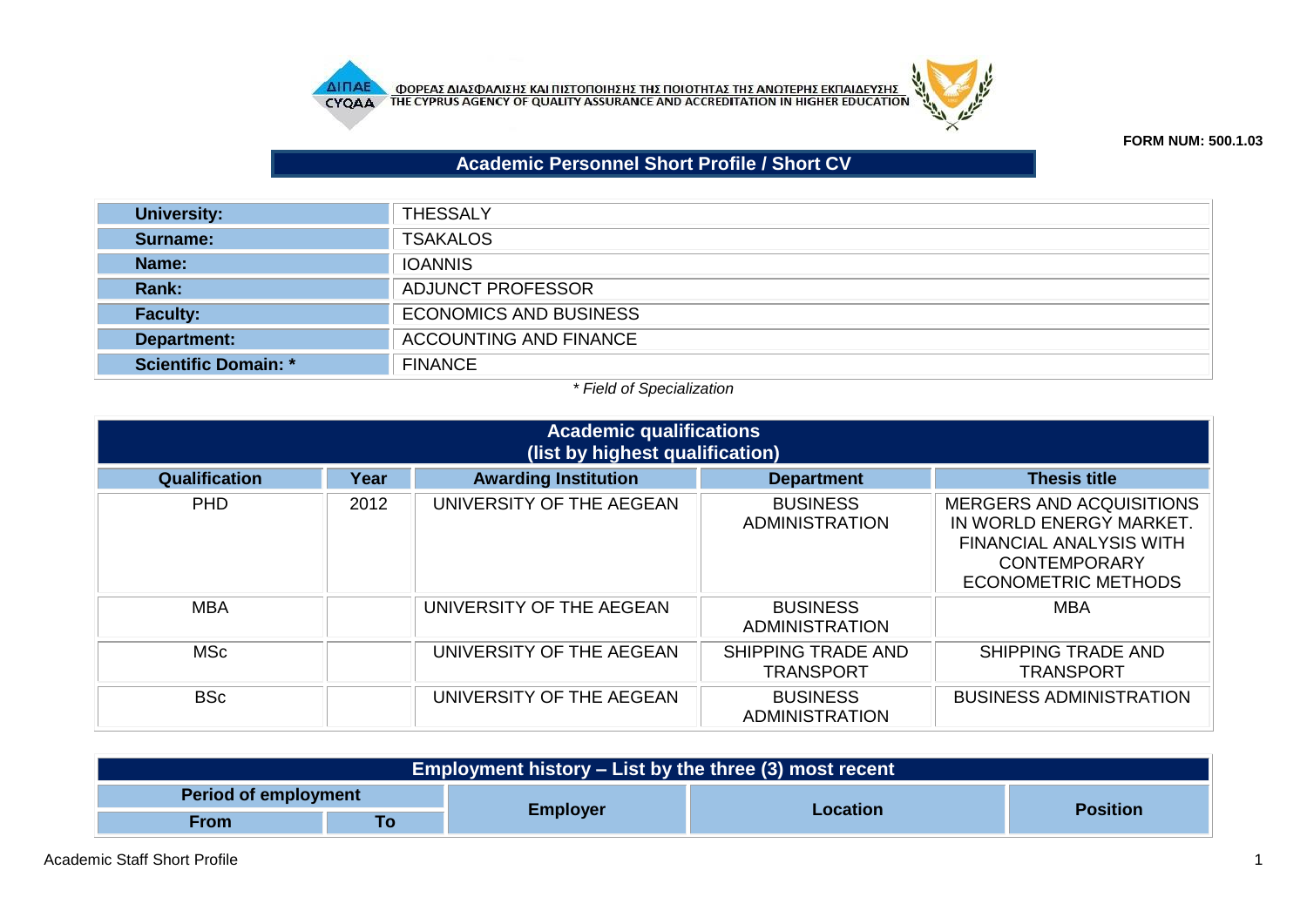



## **FORM NUM: 500.1.03**

## **Academic Personnel Short Profile / Short CV**

| <b>University:</b>          | <b>THESSALY</b>               |
|-----------------------------|-------------------------------|
| Surname:                    | <b>TSAKALOS</b>               |
| Name:                       | <b>IOANNIS</b>                |
| Rank:                       | ADJUNCT PROFESSOR             |
| <b>Faculty:</b>             | <b>ECONOMICS AND BUSINESS</b> |
| Department:                 | <b>ACCOUNTING AND FINANCE</b> |
| <b>Scientific Domain: *</b> | <b>FINANCE</b>                |

## *\* Field of Specialization*

| <b>Academic qualifications</b><br>(list by highest qualification) |      |                             |                                               |                                                                                                                                                   |  |
|-------------------------------------------------------------------|------|-----------------------------|-----------------------------------------------|---------------------------------------------------------------------------------------------------------------------------------------------------|--|
| <b>Qualification</b>                                              | Year | <b>Awarding Institution</b> | <b>Department</b>                             | <b>Thesis title</b>                                                                                                                               |  |
| <b>PHD</b>                                                        | 2012 | UNIVERSITY OF THE AEGEAN    | <b>BUSINESS</b><br>ADMINISTRATION             | <b>MERGERS AND ACQUISITIONS</b><br>IN WORLD ENERGY MARKET.<br><b>FINANCIAL ANALYSIS WITH</b><br><b>CONTEMPORARY</b><br><b>ECONOMETRIC METHODS</b> |  |
| <b>MBA</b>                                                        |      | UNIVERSITY OF THE AEGEAN    | <b>BUSINESS</b><br><b>ADMINISTRATION</b>      | <b>MBA</b>                                                                                                                                        |  |
| <b>MSc</b>                                                        |      | UNIVERSITY OF THE AEGEAN    | <b>SHIPPING TRADE AND</b><br><b>TRANSPORT</b> | <b>SHIPPING TRADE AND</b><br><b>TRANSPORT</b>                                                                                                     |  |
| <b>BSc</b>                                                        |      | UNIVERSITY OF THE AEGEAN    | <b>BUSINESS</b><br>ADMINISTRATION             | <b>BUSINESS ADMINISTRATION</b>                                                                                                                    |  |

| Employment history – List by the three (3) most recent |    |                 |          |                 |
|--------------------------------------------------------|----|-----------------|----------|-----------------|
| <b>Period of employment</b>                            |    |                 |          |                 |
| From                                                   | To | <b>Employer</b> | Location | <b>Position</b> |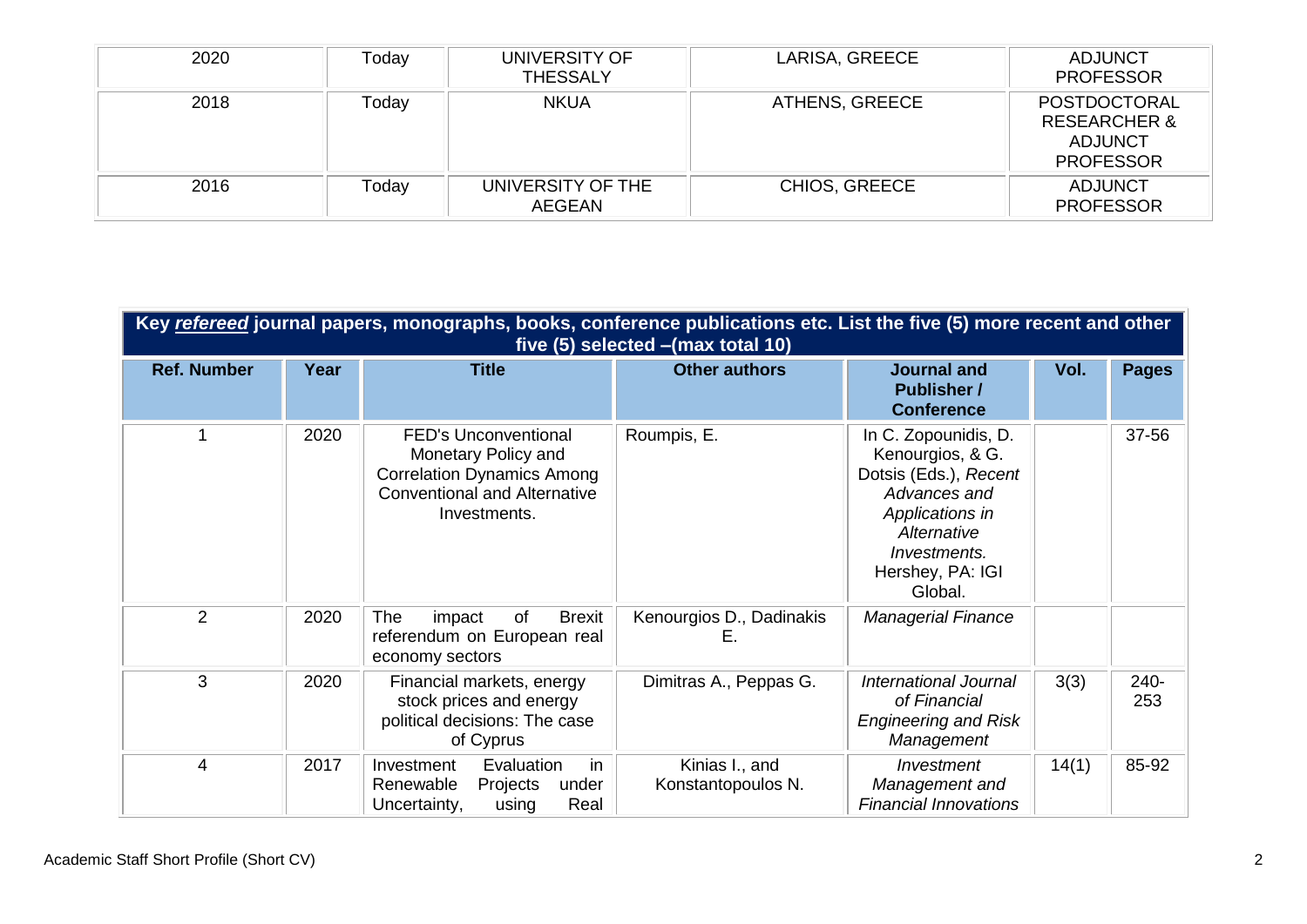| 2020 | Today | UNIVERSITY OF<br><b>THESSALY</b>   | LARISA, GREECE       | <b>ADJUNCT</b><br><b>PROFESSOR</b>                                                   |
|------|-------|------------------------------------|----------------------|--------------------------------------------------------------------------------------|
| 2018 | Today | <b>NKUA</b>                        | ATHENS, GREECE       | <b>POSTDOCTORAL</b><br><b>RESEARCHER &amp;</b><br><b>ADJUNCT</b><br><b>PROFESSOR</b> |
| 2016 | Today | UNIVERSITY OF THE<br><b>AEGEAN</b> | <b>CHIOS, GREECE</b> | <b>ADJUNCT</b><br><b>PROFESSOR</b>                                                   |

| Key refereed journal papers, monographs, books, conference publications etc. List the five (5) more recent and other<br>five $(5)$ selected $-(max total 10)$ |      |                                                                                                                                                |                                      |                                                                                                                                                                    |       |              |
|---------------------------------------------------------------------------------------------------------------------------------------------------------------|------|------------------------------------------------------------------------------------------------------------------------------------------------|--------------------------------------|--------------------------------------------------------------------------------------------------------------------------------------------------------------------|-------|--------------|
| <b>Ref. Number</b>                                                                                                                                            | Year | <b>Title</b>                                                                                                                                   | <b>Other authors</b>                 | <b>Journal and</b><br><b>Publisher /</b><br><b>Conference</b>                                                                                                      | Vol.  | <b>Pages</b> |
|                                                                                                                                                               | 2020 | <b>FED's Unconventional</b><br>Monetary Policy and<br><b>Correlation Dynamics Among</b><br><b>Conventional and Alternative</b><br>Investments. | Roumpis, E.                          | In C. Zopounidis, D.<br>Kenourgios, & G.<br>Dotsis (Eds.), Recent<br>Advances and<br>Applications in<br>Alternative<br>Investments.<br>Hershey, PA: IGI<br>Global. |       | 37-56        |
| 2                                                                                                                                                             | 2020 | The<br><b>Brexit</b><br>of<br>impact<br>referendum on European real<br>economy sectors                                                         | Kenourgios D., Dadinakis<br>E.       | <b>Managerial Finance</b>                                                                                                                                          |       |              |
| 3                                                                                                                                                             | 2020 | Financial markets, energy<br>stock prices and energy<br>political decisions: The case<br>of Cyprus                                             | Dimitras A., Peppas G.               | <b>International Journal</b><br>of Financial<br><b>Engineering and Risk</b><br>Management                                                                          | 3(3)  | 240-<br>253  |
| 4                                                                                                                                                             | 2017 | in<br>Evaluation<br>Investment<br>Renewable<br>Projects<br>under<br>Uncertainty,<br>Real<br>using                                              | Kinias I., and<br>Konstantopoulos N. | Investment<br>Management and<br><b>Financial Innovations</b>                                                                                                       | 14(1) | 85-92        |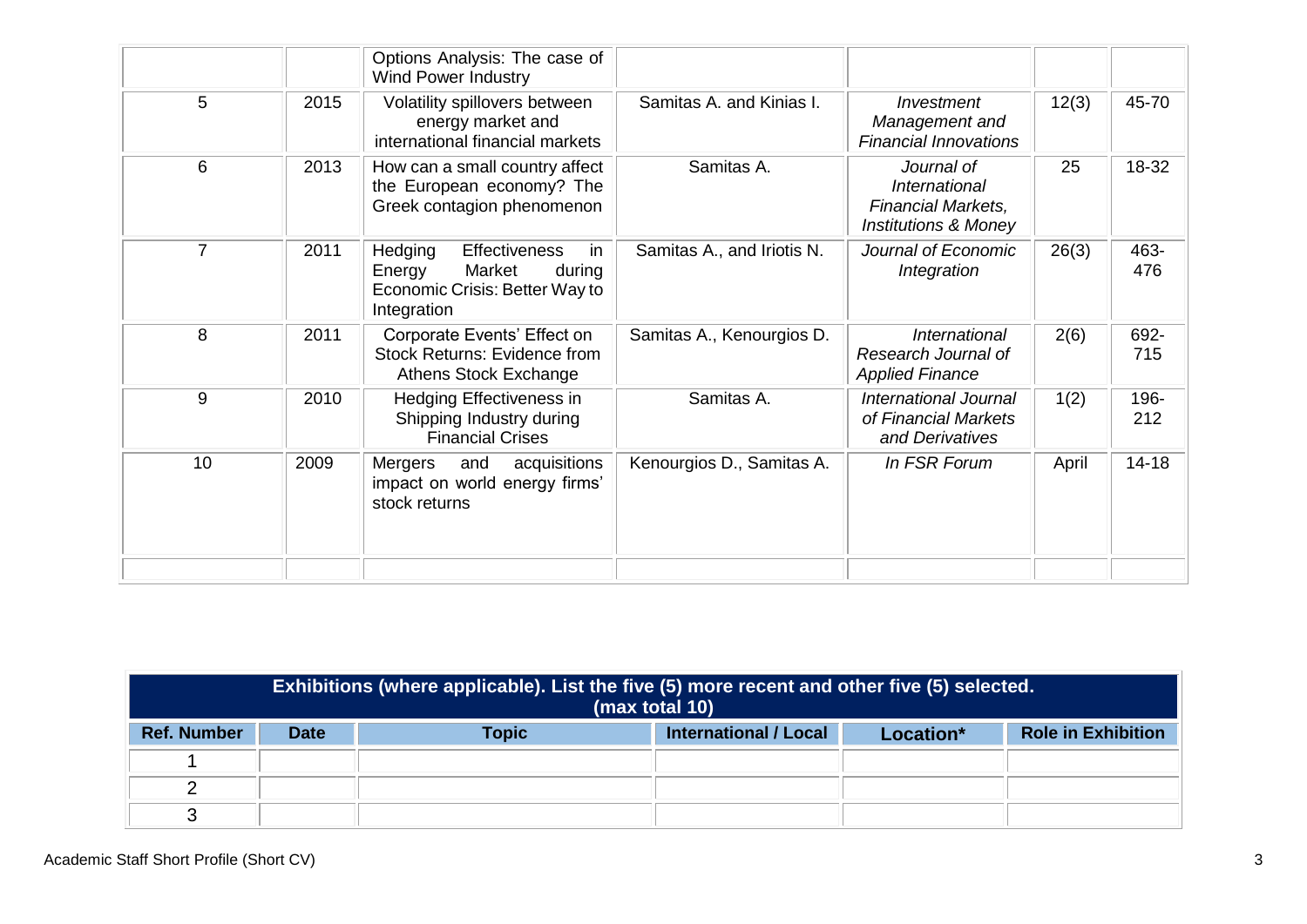|                |      | Options Analysis: The case of<br><b>Wind Power Industry</b>                                                          |                            |                                                                                      |       |             |
|----------------|------|----------------------------------------------------------------------------------------------------------------------|----------------------------|--------------------------------------------------------------------------------------|-------|-------------|
| 5              | 2015 | Volatility spillovers between<br>energy market and<br>international financial markets                                | Samitas A. and Kinias I.   | Investment<br>Management and<br><b>Financial Innovations</b>                         | 12(3) | 45-70       |
| 6              | 2013 | How can a small country affect<br>the European economy? The<br>Greek contagion phenomenon                            | Samitas A.                 | Journal of<br>International<br>Financial Markets,<br><b>Institutions &amp; Money</b> | 25    | 18-32       |
| $\overline{7}$ | 2011 | Hedging<br><b>Effectiveness</b><br>in<br>Market<br>Energy<br>during<br>Economic Crisis: Better Way to<br>Integration | Samitas A., and Iriotis N. | Journal of Economic<br>Integration                                                   | 26(3) | 463-<br>476 |
| 8              | 2011 | Corporate Events' Effect on<br><b>Stock Returns: Evidence from</b><br><b>Athens Stock Exchange</b>                   | Samitas A., Kenourgios D.  | International<br>Research Journal of<br><b>Applied Finance</b>                       | 2(6)  | 692-<br>715 |
| 9              | 2010 | Hedging Effectiveness in<br>Shipping Industry during<br><b>Financial Crises</b>                                      | Samitas A.                 | International Journal<br>of Financial Markets<br>and Derivatives                     | 1(2)  | 196-<br>212 |
| 10             | 2009 | Mergers<br>acquisitions<br>and<br>impact on world energy firms'<br>stock returns                                     | Kenourgios D., Samitas A.  | In FSR Forum                                                                         | April | $14 - 18$   |
|                |      |                                                                                                                      |                            |                                                                                      |       |             |

| Exhibitions (where applicable). List the five (5) more recent and other five (5) selected.<br>(max total 10) |             |              |                              |           |                           |
|--------------------------------------------------------------------------------------------------------------|-------------|--------------|------------------------------|-----------|---------------------------|
| <b>Ref. Number</b>                                                                                           | <b>Date</b> | <b>Topic</b> | <b>International / Local</b> | Location* | <b>Role in Exhibition</b> |
|                                                                                                              |             |              |                              |           |                           |
|                                                                                                              |             |              |                              |           |                           |
| ◠                                                                                                            |             |              |                              |           |                           |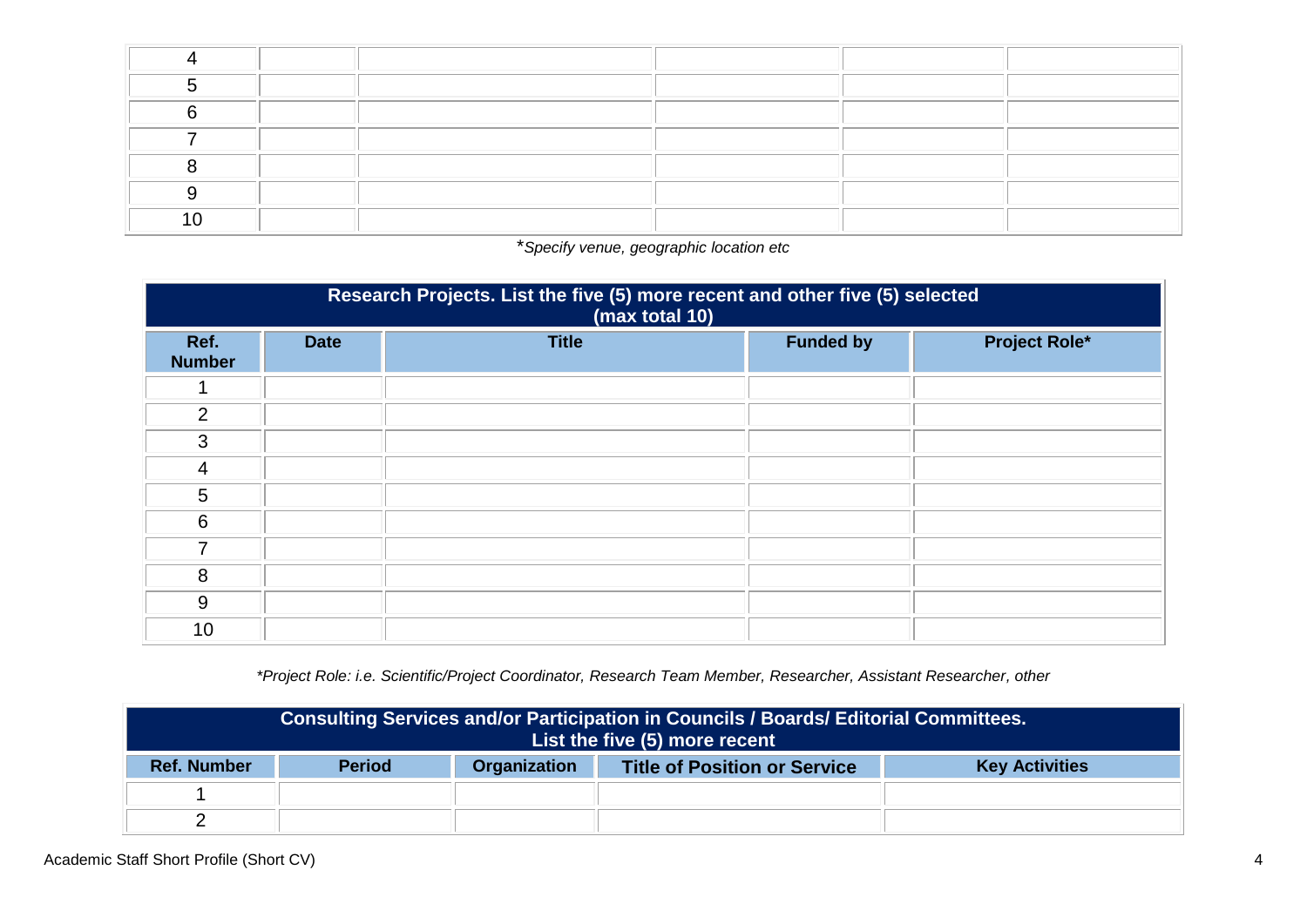\**Specify venue, geographic location etc*

| Research Projects. List the five (5) more recent and other five (5) selected<br>(max total 10) |             |              |                  |                      |  |  |
|------------------------------------------------------------------------------------------------|-------------|--------------|------------------|----------------------|--|--|
| Ref.<br><b>Number</b>                                                                          | <b>Date</b> | <b>Title</b> | <b>Funded by</b> | <b>Project Role*</b> |  |  |
|                                                                                                |             |              |                  |                      |  |  |
| $\overline{2}$                                                                                 |             |              |                  |                      |  |  |
| 3                                                                                              |             |              |                  |                      |  |  |
| $\overline{4}$                                                                                 |             |              |                  |                      |  |  |
| 5                                                                                              |             |              |                  |                      |  |  |
| 6                                                                                              |             |              |                  |                      |  |  |
| 7                                                                                              |             |              |                  |                      |  |  |
| 8                                                                                              |             |              |                  |                      |  |  |
| 9                                                                                              |             |              |                  |                      |  |  |
| 10                                                                                             |             |              |                  |                      |  |  |

*\*Project Role: i.e. Scientific/Project Coordinator, Research Team Member, Researcher, Assistant Researcher, other*

| Consulting Services and/or Participation in Councils / Boards/ Editorial Committees.<br>List the five (5) more recent |               |                     |                                     |                       |
|-----------------------------------------------------------------------------------------------------------------------|---------------|---------------------|-------------------------------------|-----------------------|
| <b>Ref. Number</b>                                                                                                    | <b>Period</b> | <b>Organization</b> | <b>Title of Position or Service</b> | <b>Key Activities</b> |
|                                                                                                                       |               |                     |                                     |                       |
|                                                                                                                       |               |                     |                                     |                       |